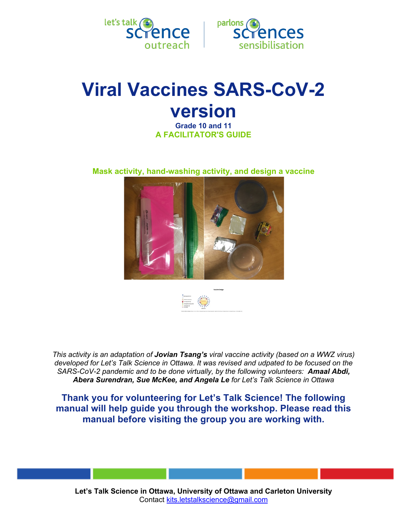



# **Viral Vaccines SARS-CoV-2 version**

**Grade 10 and 11 A FACILITATOR'S GUIDE**

**Mask activity, hand-washing activity, and design a vaccine**





*This activity is an adaptation of Jovian Tsang's viral vaccine activity (based on a WWZ virus) developed for Let's Talk Science in Ottawa. It was revised and udpated to be focused on the SARS-CoV-2 pandemic and to be done virtually, by the following volunteers: Amaal Abdi, Abera Surendran, Sue McKee, and Angela Le for Let's Talk Science in Ottawa*

**Thank you for volunteering for Let's Talk Science! The following manual will help guide you through the workshop. Please read this manual before visiting the group you are working with.**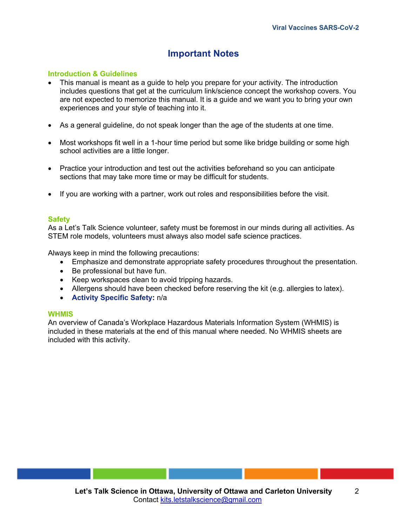# **Important Notes**

## **Introduction & Guidelines**

- This manual is meant as a guide to help you prepare for your activity. The introduction includes questions that get at the curriculum link/science concept the workshop covers. You are not expected to memorize this manual. It is a guide and we want you to bring your own experiences and your style of teaching into it.
- As a general guideline, do not speak longer than the age of the students at one time.
- Most workshops fit well in a 1-hour time period but some like bridge building or some high school activities are a little longer.
- Practice your introduction and test out the activities beforehand so you can anticipate sections that may take more time or may be difficult for students.
- If you are working with a partner, work out roles and responsibilities before the visit.

### **Safety**

As a Let's Talk Science volunteer, safety must be foremost in our minds during all activities. As STEM role models, volunteers must always also model safe science practices.

Always keep in mind the following precautions:

- Emphasize and demonstrate appropriate safety procedures throughout the presentation.
- Be professional but have fun.
- Keep workspaces clean to avoid tripping hazards.
- Allergens should have been checked before reserving the kit (e.g. allergies to latex).
- **Activity Specific Safety:** n/a

#### **WHMIS**

An overview of Canada's Workplace Hazardous Materials Information System (WHMIS) is included in these materials at the end of this manual where needed. No WHMIS sheets are included with this activity.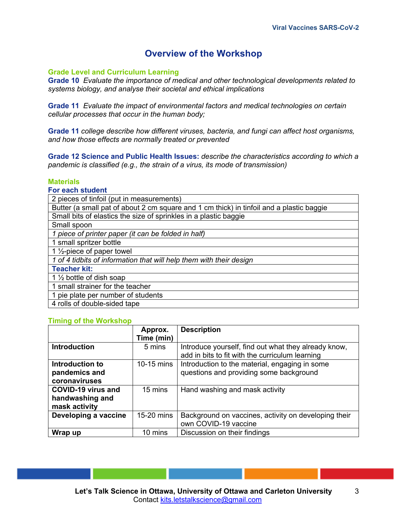# **Overview of the Workshop**

## **Grade Level and Curriculum Learning**

**Grade 10** *Evaluate the importance of medical and other technological developments related to systems biology, and analyse their societal and ethical implications*

**Grade 11** *Evaluate the impact of environmental factors and medical technologies on certain cellular processes that occur in the human body;*

**Grade 11** *college describe how different viruses, bacteria, and fungi can affect host organisms, and how those effects are normally treated or prevented*

**Grade 12 Science and Public Health Issues:** *describe the characteristics according to which a pandemic is classified (e.g., the strain of a virus, its mode of transmission)*

### **Materials**

#### **For each student**

| 2 pieces of tinfoil (put in measurements)                                                |  |  |
|------------------------------------------------------------------------------------------|--|--|
| Butter (a small pat of about 2 cm square and 1 cm thick) in tinfoil and a plastic baggie |  |  |
| Small bits of elastics the size of sprinkles in a plastic baggie                         |  |  |
| Small spoon                                                                              |  |  |
| 1 piece of printer paper (it can be folded in half)                                      |  |  |
| 1 small spritzer bottle                                                                  |  |  |
| 1 $\frac{1}{2}$ -piece of paper towel                                                    |  |  |
| 1 of 4 tidbits of information that will help them with their design                      |  |  |
| <b>Teacher kit:</b>                                                                      |  |  |
| 1 1/2 bottle of dish soap                                                                |  |  |
| 1 small strainer for the teacher                                                         |  |  |
| 1 pie plate per number of students                                                       |  |  |
| 4 rolls of double-sided tape                                                             |  |  |

#### **Timing of the Workshop**

|                           | Approx.    | <b>Description</b>                                                                                      |
|---------------------------|------------|---------------------------------------------------------------------------------------------------------|
|                           | Time (min) |                                                                                                         |
| <b>Introduction</b>       | 5 mins     | Introduce yourself, find out what they already know,<br>add in bits to fit with the curriculum learning |
| Introduction to           | 10-15 mins | Introduction to the material, engaging in some                                                          |
| pandemics and             |            | questions and providing some background                                                                 |
| coronaviruses             |            |                                                                                                         |
| <b>COVID-19 virus and</b> | 15 mins    | Hand washing and mask activity                                                                          |
| handwashing and           |            |                                                                                                         |
| mask activity             |            |                                                                                                         |
| Developing a vaccine      | 15-20 mins | Background on vaccines, activity on developing their                                                    |
|                           |            | own COVID-19 vaccine                                                                                    |
| Wrap up                   | 10 mins    | Discussion on their findings                                                                            |

3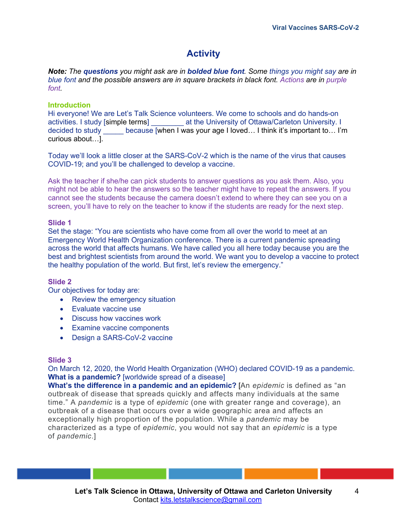# **Activity**

*Note: The questions you might ask are in bolded blue font. Some things you might say are in blue font and the possible answers are in square brackets in black font. Actions are in purple font.*

## **Introduction**

Hi everyone! We are Let's Talk Science volunteers. We come to schools and do hands-on activities. I study [simple terms] \_\_\_\_\_\_\_\_ at the University of Ottawa/Carleton University. I decided to study \_\_\_\_\_ because [when I was your age I loved… I think it's important to… I'm curious about…].

Today we'll look a little closer at the SARS-CoV-2 which is the name of the virus that causes COVID-19; and you'll be challenged to develop a vaccine.

Ask the teacher if she/he can pick students to answer questions as you ask them. Also, you might not be able to hear the answers so the teacher might have to repeat the answers. If you cannot see the students because the camera doesn't extend to where they can see you on a screen, you'll have to rely on the teacher to know if the students are ready for the next step.

## **Slide 1**

Set the stage: "You are scientists who have come from all over the world to meet at an Emergency World Health Organization conference. There is a current pandemic spreading across the world that affects humans. We have called you all here today because you are the best and brightest scientists from around the world. We want you to develop a vaccine to protect the healthy population of the world. But first, let's review the emergency."

## **Slide 2**

Our objectives for today are:

- Review the emergency situation
- Evaluate vaccine use
- Discuss how vaccines work
- Examine vaccine components
- Design a SARS-CoV-2 vaccine

## **Slide 3**

On March 12, 2020, the World Health Organization (WHO) declared COVID-19 as a pandemic. **What is a pandemic?** [worldwide spread of a disease]

**What's the difference in a pandemic and an epidemic?** [An *epidemic* is defined as "an outbreak of disease that spreads quickly and affects many individuals at the same time." A *pandemic* is a type of *epidemic* (one with greater range and coverage), an outbreak of a disease that occurs over a wide geographic area and affects an exceptionally high proportion of the population. While a *pandemic* may be characterized as a type of *epidemic*, you would not say that an *epidemic* is a type of *pandemic*.]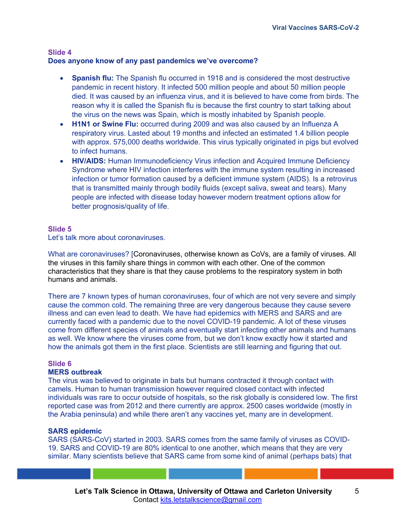#### **Slide 4 Does anyone know of any past pandemics we've overcome?**

- **Spanish flu:** The Spanish flu occurred in 1918 and is considered the most destructive pandemic in recent history. It infected 500 million people and about 50 million people died. It was caused by an influenza virus, and it is believed to have come from birds. The reason why it is called the Spanish flu is because the first country to start talking about the virus on the news was Spain, which is mostly inhabited by Spanish people.
- **H1N1 or Swine Flu:** occurred during 2009 and was also caused by an Influenza A respiratory virus. Lasted about 19 months and infected an estimated 1.4 billion people with approx. 575,000 deaths worldwide. This virus typically originated in pigs but evolved to infect humans.
- **HIV/AIDS:** Human Immunodeficiency Virus infection and Acquired Immune Deficiency Syndrome where HIV infection interferes with the immune system resulting in increased infection or tumor formation caused by a deficient immune system (AIDS). Is a retrovirus that is transmitted mainly through bodily fluids (except saliva, sweat and tears). Many people are infected with disease today however modern treatment options allow for better prognosis/quality of life.

## **Slide 5**

Let's talk more about coronaviruses.

What are coronaviruses? [Coronaviruses, otherwise known as CoVs, are a family of viruses. All the viruses in this family share things in common with each other. One of the common characteristics that they share is that they cause problems to the respiratory system in both humans and animals.

There are 7 known types of human coronaviruses, four of which are not very severe and simply cause the common cold. The remaining three are very dangerous because they cause severe illness and can even lead to death. We have had epidemics with MERS and SARS and are currently faced with a pandemic due to the novel COVID-19 pandemic. A lot of these viruses come from different species of animals and eventually start infecting other animals and humans as well. We know where the viruses come from, but we don't know exactly how it started and how the animals got them in the first place. Scientists are still learning and figuring that out.

## **Slide 6**

## **MERS outbreak**

The virus was believed to originate in bats but humans contracted it through contact with camels. Human to human transmission however required closed contact with infected individuals was rare to occur outside of hospitals, so the risk globally is considered low. The first reported case was from 2012 and there currently are approx. 2500 cases worldwide (mostly in the Arabia peninsula) and while there aren't any vaccines yet, many are in development.

## **SARS epidemic**

SARS (SARS-CoV) started in 2003. SARS comes from the same family of viruses as COVID-19. SARS and COVID-19 are 80% identical to one another, which means that they are very similar. Many scientists believe that SARS came from some kind of animal (perhaps bats) that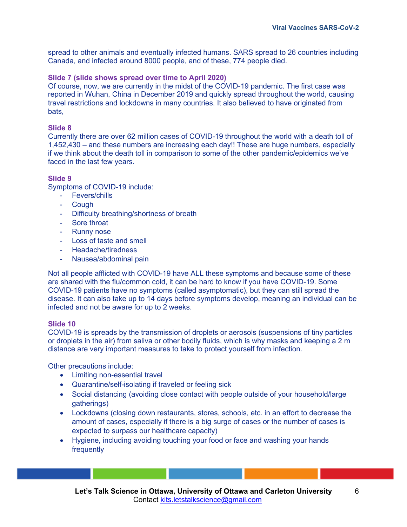spread to other animals and eventually infected humans. SARS spread to 26 countries including Canada, and infected around 8000 people, and of these, 774 people died.

## **Slide 7 (slide shows spread over time to April 2020)**

Of course, now, we are currently in the midst of the COVID-19 pandemic. The first case was reported in Wuhan, China in December 2019 and quickly spread throughout the world, causing travel restrictions and lockdowns in many countries. It also believed to have originated from bats,

### **Slide 8**

Currently there are over 62 million cases of COVID-19 throughout the world with a death toll of 1,452,430 – and these numbers are increasing each day!! These are huge numbers, especially if we think about the death toll in comparison to some of the other pandemic/epidemics we've faced in the last few years.

## **Slide 9**

Symptoms of COVID-19 include:

- Fevers/chills
- Cough
- Difficulty breathing/shortness of breath
- Sore throat
- Runny nose
- Loss of taste and smell
- Headache/tiredness
- Nausea/abdominal pain

Not all people afflicted with COVID-19 have ALL these symptoms and because some of these are shared with the flu/common cold, it can be hard to know if you have COVID-19. Some COVID-19 patients have no symptoms (called asymptomatic), but they can still spread the disease. It can also take up to 14 days before symptoms develop, meaning an individual can be infected and not be aware for up to 2 weeks.

## **Slide 10**

COVID-19 is spreads by the transmission of droplets or aerosols (suspensions of tiny particles or droplets in the air) from saliva or other bodily fluids, which is why masks and keeping a 2 m distance are very important measures to take to protect yourself from infection.

Other precautions include:

- Limiting non-essential travel
- Quarantine/self-isolating if traveled or feeling sick
- Social distancing (avoiding close contact with people outside of your household/large gatherings)
- Lockdowns (closing down restaurants, stores, schools, etc. in an effort to decrease the amount of cases, especially if there is a big surge of cases or the number of cases is expected to surpass our healthcare capacity)
- Hygiene, including avoiding touching your food or face and washing your hands frequently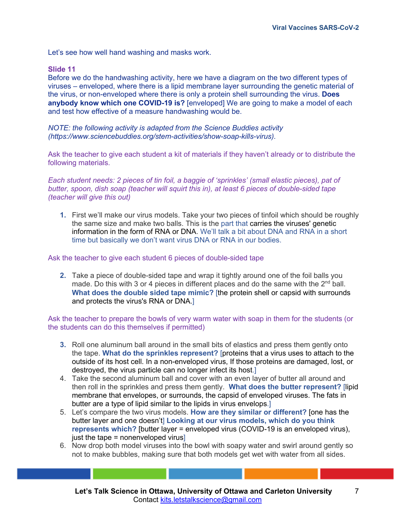Let's see how well hand washing and masks work.

#### **Slide 11**

Before we do the handwashing activity, here we have a diagram on the two different types of viruses – enveloped, where there is a lipid membrane layer surrounding the genetic material of the virus, or non-enveloped where there is only a protein shell surrounding the virus. **Does anybody know which one COVID-19 is?** [enveloped] We are going to make a model of each and test how effective of a measure handwashing would be.

*NOTE: the following activity is adapted from the Science Buddies activity (https://www.sciencebuddies.org/stem-activities/show-soap-kills-virus).* 

Ask the teacher to give each student a kit of materials if they haven't already or to distribute the following materials.

*Each student needs: 2 pieces of tin foil, a baggie of 'sprinkles' (small elastic pieces), pat of butter, spoon, dish soap (teacher will squirt this in), at least 6 pieces of double-sided tape (teacher will give this out)*

**1.** First we'll make our virus models. Take your two pieces of tinfoil which should be roughly the same size and make two balls. This is the part that carries the viruses' genetic information in the form of RNA or DNA. We'll talk a bit about DNA and RNA in a short time but basically we don't want virus DNA or RNA in our bodies.

Ask the teacher to give each student 6 pieces of double-sided tape

**2.** Take a piece of double-sided tape and wrap it tightly around one of the foil balls you made. Do this with 3 or 4 pieces in different places and do the same with the  $2<sup>nd</sup>$  ball. **What does the double sided tape mimic?** [the protein shell or capsid with surrounds and protects the virus's RNA or DNA.]

Ask the teacher to prepare the bowls of very warm water with soap in them for the students (or the students can do this themselves if permitted)

- **3.** Roll one aluminum ball around in the small bits of elastics and press them gently onto the tape. **What do the sprinkles represent?** [proteins that a virus uses to attach to the outside of its host cell. In a non-enveloped virus, If those proteins are damaged, lost, or destroyed, the virus particle can no longer infect its host.]
- 4. Take the second aluminum ball and cover with an even layer of butter all around and then roll in the sprinkles and press them gently. **What does the butter represent?** [lipid membrane that envelopes, or surrounds, the capsid of enveloped viruses. The fats in butter are a type of lipid similar to the lipids in virus envelops.]
- 5. Let's compare the two virus models. **How are they similar or different?** [one has the butter layer and one doesn't] **Looking at our virus models, which do you think represents which?** [butter layer = enveloped virus (COVID-19 is an enveloped virus), just the tape  $=$  nonenveloped virus]
- 6. Now drop both model viruses into the bowl with soapy water and swirl around gently so not to make bubbles, making sure that both models get wet with water from all sides.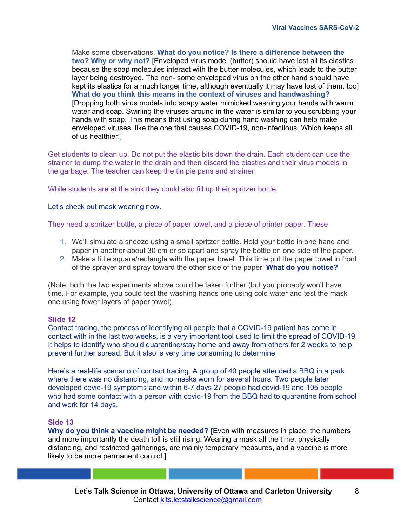Make some observations. **What do you notice? Is there a difference between the two? Why or why not?** [Enveloped virus model (butter) should have lost all its elastics because the soap molecules interact with the butter molecules, which leads to the butter layer being destroyed. The non- some enveloped virus on the other hand should have kept its elastics for a much longer time, although eventually it may have lost of them, too] **What do you think this means in the context of viruses and handwashing?** [Dropping both virus models into soapy water mimicked washing your hands with warm water and soap. Swirling the viruses around in the water is similar to you scrubbing your hands with soap. This means that using soap during hand washing can help make enveloped viruses, like the one that causes COVID-19, non-infectious. Which keeps all of us healthier!]

Get students to clean up. Do not put the elastic bits down the drain. Each student can use the strainer to dump the water in the drain and then discard the elastics and their virus models in the garbage. The teacher can keep the tin pie pans and strainer.

While students are at the sink they could also fill up their spritzer bottle.

Let's check out mask wearing now.

They need a spritzer bottle, a piece of paper towel, and a piece of printer paper. These

- 1. We'll simulate a sneeze using a small spritzer bottle. Hold your bottle in one hand and paper in another about 30 cm or so apart and spray the bottle on one side of the paper.
- 2. Make a little square/rectangle with the paper towel. This time put the paper towel in front of the sprayer and spray toward the other side of the paper. **What do you notice?**

(Note: both the two experiments above could be taken further (but you probably won't have time. For example, you could test the washing hands one using cold water and test the mask one using fewer layers of paper towel).

#### **Slide 12**

Contact tracing, the process of identifying all people that a COVID-19 patient has come in contact with in the last two weeks, is a very important tool used to limit the spread of COVID-19. It helps to identify who should quarantine/stay home and away from others for 2 weeks to help prevent further spread. But it also is very time consuming to determine

Here's a real-life scenario of contact tracing. A group of 40 people attended a BBQ in a park where there was no distancing, and no masks worn for several hours. Two people later developed covid-19 symptoms and within 6-7 days 27 people had covid-19 and 105 people who had some contact with a person with covid-19 from the BBQ had to quarantine from school and work for 14 days.

#### **Side 13**

**Why do you think a vaccine might be needed? [**Even with measures in place, the numbers and more importantly the death toll is still rising. Wearing a mask all the time, physically distancing, and restricted gatherings, are mainly temporary measures**,** and a vaccine is more likely to be more permanent control.]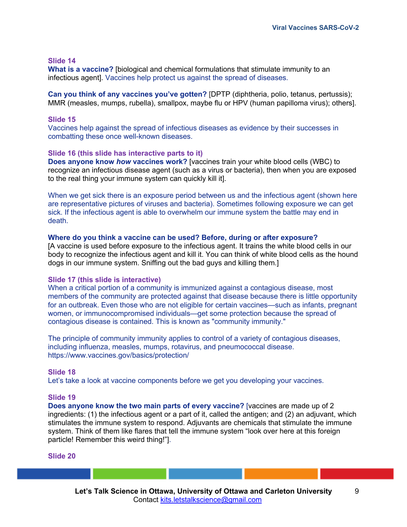#### **Slide 14**

**What is a vaccine?** [biological and chemical formulations that stimulate immunity to an infectious agent]. Vaccines help protect us against the spread of diseases.

**Can you think of any vaccines you've gotten?** [DPTP (diphtheria, polio, tetanus, pertussis); MMR (measles, mumps, rubella), smallpox, maybe flu or HPV (human papilloma virus); others].

#### **Slide 15**

Vaccines help against the spread of infectious diseases as evidence by their successes in combatting these once well-known diseases.

#### **Slide 16 (this slide has interactive parts to it)**

**Does anyone know** *how* **vaccines work?** [vaccines train your white blood cells (WBC) to recognize an infectious disease agent (such as a virus or bacteria), then when you are exposed to the real thing your immune system can quickly kill it].

When we get sick there is an exposure period between us and the infectious agent (shown here are representative pictures of viruses and bacteria). Sometimes following exposure we can get sick. If the infectious agent is able to overwhelm our immune system the battle may end in death.

#### **Where do you think a vaccine can be used? Before, during or after exposure?**

[A vaccine is used before exposure to the infectious agent. It trains the white blood cells in our body to recognize the infectious agent and kill it. You can think of white blood cells as the hound dogs in our immune system. Sniffing out the bad guys and killing them.]

#### **Slide 17 (this slide is interactive)**

When a critical portion of a community is immunized against a contagious disease, most members of the community are protected against that disease because there is little opportunity for an outbreak. Even those who are not eligible for certain vaccines—such as infants, pregnant women, or immunocompromised individuals—get some protection because the spread of contagious disease is contained. This is known as "community immunity."

The principle of community immunity applies to control of a variety of contagious diseases, including influenza, measles, mumps, rotavirus, and pneumococcal disease. https://www.vaccines.gov/basics/protection/

#### **Slide 18**

Let's take a look at vaccine components before we get you developing your vaccines.

#### **Slide 19**

**Does anyone know the two main parts of every vaccine?** [vaccines are made up of 2 ingredients: (1) the infectious agent or a part of it, called the antigen; and (2) an adjuvant, which stimulates the immune system to respond. Adjuvants are chemicals that stimulate the immune system. Think of them like flares that tell the immune system "look over here at this foreign particle! Remember this weird thing!"].

#### **Slide 20**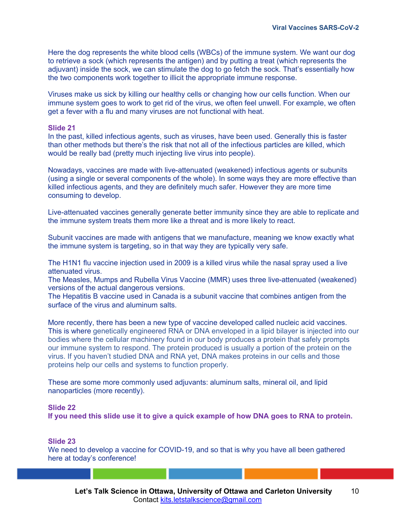Here the dog represents the white blood cells (WBCs) of the immune system. We want our dog to retrieve a sock (which represents the antigen) and by putting a treat (which represents the adjuvant) inside the sock, we can stimulate the dog to go fetch the sock. That's essentially how the two components work together to illicit the appropriate immune response.

Viruses make us sick by killing our healthy cells or changing how our cells function. When our immune system goes to work to get rid of the virus, we often feel unwell. For example, we often get a fever with a flu and many viruses are not functional with heat.

#### **Slide 21**

In the past, killed infectious agents, such as viruses, have been used. Generally this is faster than other methods but there's the risk that not all of the infectious particles are killed, which would be really bad (pretty much injecting live virus into people).

Nowadays, vaccines are made with live-attenuated (weakened) infectious agents or subunits (using a single or several components of the whole). In some ways they are more effective than killed infectious agents, and they are definitely much safer. However they are more time consuming to develop.

Live-attenuated vaccines generally generate better immunity since they are able to replicate and the immune system treats them more like a threat and is more likely to react.

Subunit vaccines are made with antigens that we manufacture, meaning we know exactly what the immune system is targeting, so in that way they are typically very safe.

The H1N1 flu vaccine injection used in 2009 is a killed virus while the nasal spray used a live attenuated virus.

The Measles, Mumps and Rubella Virus Vaccine (MMR) uses three live-attenuated (weakened) versions of the actual dangerous versions.

The Hepatitis B vaccine used in Canada is a subunit vaccine that combines antigen from the surface of the virus and aluminum salts.

More recently, there has been a new type of vaccine developed called nucleic acid vaccines. This is where genetically engineered RNA or DNA enveloped in a lipid bilayer is injected into our bodies where the cellular machinery found in our body produces a protein that safely prompts our immune system to respond. The protein produced is usually a portion of the protein on the virus. If you haven't studied DNA and RNA yet, DNA makes proteins in our cells and those proteins help our cells and systems to function properly.

These are some more commonly used adjuvants: aluminum salts, mineral oil, and lipid nanoparticles (more recently).

#### **Slide 22**

**If you need this slide use it to give a quick example of how DNA goes to RNA to protein.** 

#### **Slide 23**

We need to develop a vaccine for COVID-19, and so that is why you have all been gathered here at today's conference!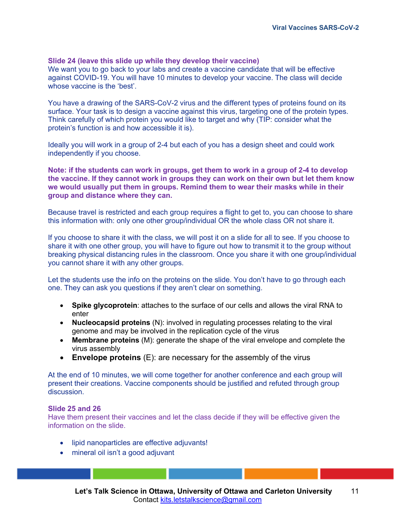#### **Slide 24 (leave this slide up while they develop their vaccine)**

We want you to go back to your labs and create a vaccine candidate that will be effective against COVID-19. You will have 10 minutes to develop your vaccine. The class will decide whose vaccine is the 'best'.

You have a drawing of the SARS-CoV-2 virus and the different types of proteins found on its surface. Your task is to design a vaccine against this virus, targeting one of the protein types. Think carefully of which protein you would like to target and why (TIP: consider what the protein's function is and how accessible it is).

Ideally you will work in a group of 2-4 but each of you has a design sheet and could work independently if you choose.

**Note: if the students can work in groups, get them to work in a group of 2-4 to develop the vaccine. If they cannot work in groups they can work on their own but let them know we would usually put them in groups. Remind them to wear their masks while in their group and distance where they can.** 

Because travel is restricted and each group requires a flight to get to, you can choose to share this information with: only one other group/individual OR the whole class OR not share it.

If you choose to share it with the class, we will post it on a slide for all to see. If you choose to share it with one other group, you will have to figure out how to transmit it to the group without breaking physical distancing rules in the classroom. Once you share it with one group/individual you cannot share it with any other groups.

Let the students use the info on the proteins on the slide. You don't have to go through each one. They can ask you questions if they aren't clear on something.

- **Spike glycoprotein**: attaches to the surface of our cells and allows the viral RNA to enter
- **Nucleocapsid proteins** (N): involved in regulating processes relating to the viral genome and may be involved in the replication cycle of the virus
- **Membrane proteins** (M): generate the shape of the viral envelope and complete the virus assembly
- **Envelope proteins** (E): are necessary for the assembly of the virus

At the end of 10 minutes, we will come together for another conference and each group will present their creations. Vaccine components should be justified and refuted through group discussion.

#### **Slide 25 and 26**

Have them present their vaccines and let the class decide if they will be effective given the information on the slide.

- lipid nanoparticles are effective adjuvants!
- mineral oil isn't a good adjuvant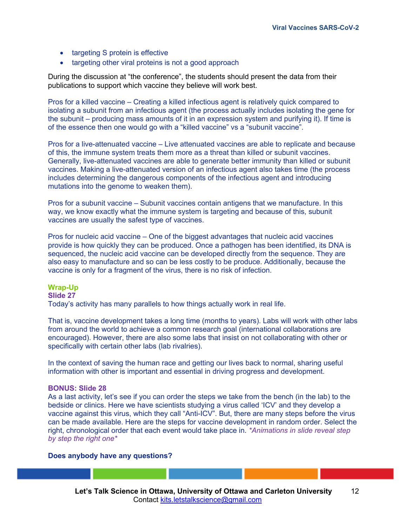- targeting S protein is effective
- targeting other viral proteins is not a good approach

During the discussion at "the conference", the students should present the data from their publications to support which vaccine they believe will work best.

Pros for a killed vaccine – Creating a killed infectious agent is relatively quick compared to isolating a subunit from an infectious agent (the process actually includes isolating the gene for the subunit – producing mass amounts of it in an expression system and purifying it). If time is of the essence then one would go with a "killed vaccine" vs a "subunit vaccine".

Pros for a live-attenuated vaccine – Live attenuated vaccines are able to replicate and because of this, the immune system treats them more as a threat than killed or subunit vaccines. Generally, live-attenuated vaccines are able to generate better immunity than killed or subunit vaccines. Making a live-attenuated version of an infectious agent also takes time (the process includes determining the dangerous components of the infectious agent and introducing mutations into the genome to weaken them).

Pros for a subunit vaccine – Subunit vaccines contain antigens that we manufacture. In this way, we know exactly what the immune system is targeting and because of this, subunit vaccines are usually the safest type of vaccines.

Pros for nucleic acid vaccine – One of the biggest advantages that nucleic acid vaccines provide is how quickly they can be produced. Once a pathogen has been identified, its DNA is sequenced, the nucleic acid vaccine can be developed directly from the sequence. They are also easy to manufacture and so can be less costly to be produce. Additionally, because the vaccine is only for a fragment of the virus, there is no risk of infection.

## **Wrap-Up**

#### **Slide 27**

Today's activity has many parallels to how things actually work in real life.

That is, vaccine development takes a long time (months to years). Labs will work with other labs from around the world to achieve a common research goal (international collaborations are encouraged). However, there are also some labs that insist on not collaborating with other or specifically with certain other labs (lab rivalries).

In the context of saving the human race and getting our lives back to normal, sharing useful information with other is important and essential in driving progress and development.

#### **BONUS: Slide 28**

As a last activity, let's see if you can order the steps we take from the bench (in the lab) to the bedside or clinics. Here we have scientists studying a virus called 'ICV' and they develop a vaccine against this virus, which they call "Anti-ICV". But, there are many steps before the virus can be made available. Here are the steps for vaccine development in random order. Select the right, chronological order that each event would take place in. *\*Animations in slide reveal step by step the right one\** 

#### **Does anybody have any questions?**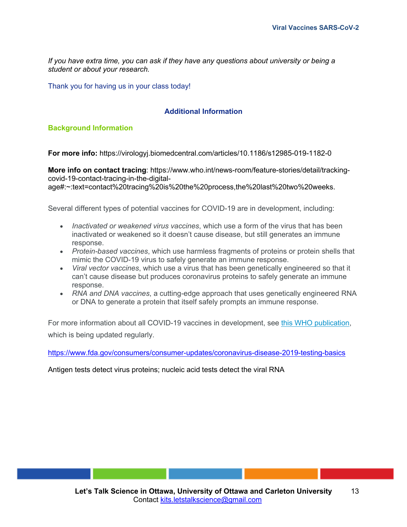*If you have extra time, you can ask if they have any questions about university or being a student or about your research.* 

Thank you for having us in your class today!

## **Additional Information**

## **Background Information**

**For more info:** https://virologyj.biomedcentral.com/articles/10.1186/s12985-019-1182-0

**More info on contact tracing**: https://www.who.int/news-room/feature-stories/detail/trackingcovid-19-contact-tracing-in-the-digital-

age#:~:text=contact%20tracing%20is%20the%20process,the%20last%20two%20weeks.

Several different types of potential vaccines for COVID-19 are in development, including:

- *Inactivated or weakened virus vaccines*, which use a form of the virus that has been inactivated or weakened so it doesn't cause disease, but still generates an immune response.
- *Protein-based vaccines*, which use harmless fragments of proteins or protein shells that mimic the COVID-19 virus to safely generate an immune response.
- *Viral vector vaccines*, which use a virus that has been genetically engineered so that it can't cause disease but produces coronavirus proteins to safely generate an immune response.
- *RNA and DNA vaccines*, a cutting-edge approach that uses genetically engineered RNA or DNA to generate a protein that itself safely prompts an immune response.

For more information about all COVID-19 vaccines in development, see this WHO publication, which is being updated regularly.

https://www.fda.gov/consumers/consumer-updates/coronavirus-disease-2019-testing-basics

Antigen tests detect virus proteins; nucleic acid tests detect the viral RNA